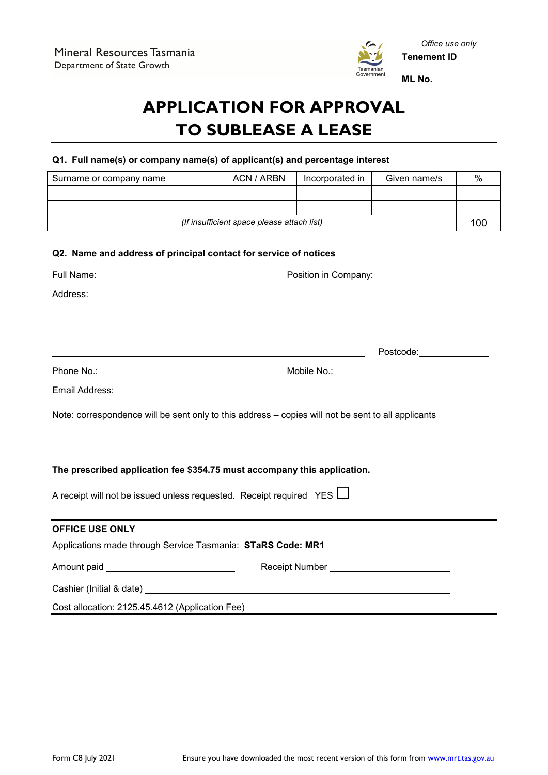

# **APPLICATION FOR APPROVAL TO SUBLEASE A LEASE**

# **Q1. Full name(s) or company name(s) of applicant(s) and percentage interest**

| Surname or company name                                          | ACN / ARBN | Incorporated in | Given name/s | % |
|------------------------------------------------------------------|------------|-----------------|--------------|---|
|                                                                  |            |                 |              |   |
|                                                                  |            |                 |              |   |
| (If insufficient space please attach list)                       |            |                 | 100          |   |
| Q2. Name and address of principal contact for service of notices |            |                 |              |   |

|                                                                            | Address: experience and a series of the contract of the contract of the contract of the contract of the contract of the contract of the contract of the contract of the contract of the contract of the contract of the contra |
|----------------------------------------------------------------------------|--------------------------------------------------------------------------------------------------------------------------------------------------------------------------------------------------------------------------------|
|                                                                            | ,我们也不会有什么?""我们的人,我们也不会有什么?""我们的人,我们也不会有什么?""我们的人,我们也不会有什么?""我们的人,我们也不会有什么?""我们的人                                                                                                                                               |
|                                                                            | ,我们也不会有什么?""我们的人,我们也不会有什么?""我们的人,我们也不会有什么?""我们的人,我们也不会有什么?""我们的人,我们也不会有什么?""我们的人                                                                                                                                               |
|                                                                            |                                                                                                                                                                                                                                |
|                                                                            |                                                                                                                                                                                                                                |
|                                                                            | Note: correspondence will be sent only to this address - copies will not be sent to all applicants                                                                                                                             |
|                                                                            |                                                                                                                                                                                                                                |
|                                                                            |                                                                                                                                                                                                                                |
|                                                                            | The prescribed application fee \$354.75 must accompany this application.                                                                                                                                                       |
| A receipt will not be issued unless requested. Receipt required YES $\Box$ |                                                                                                                                                                                                                                |
|                                                                            | ,我们也不能在这里的时候,我们也不能在这里的时候,我们也不能会在这里的时候,我们也不能会在这里的时候,我们也不能会在这里的时候,我们也不能会在这里的时候,我们也                                                                                                                                               |
| <b>OFFICE USE ONLY</b>                                                     |                                                                                                                                                                                                                                |
| Applications made through Service Tasmania: STaRS Code: MR1                |                                                                                                                                                                                                                                |
|                                                                            | Receipt Number ___________________________                                                                                                                                                                                     |
|                                                                            |                                                                                                                                                                                                                                |
| Cost allocation: 2125.45.4612 (Application Fee)                            |                                                                                                                                                                                                                                |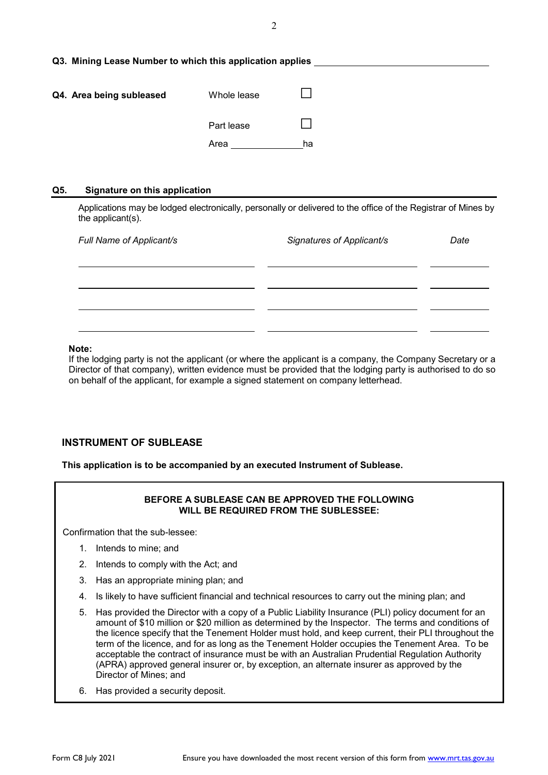|  |  |  |  |  |  | Q3. Mining Lease Number to which this application applies |  |
|--|--|--|--|--|--|-----------------------------------------------------------|--|
|--|--|--|--|--|--|-----------------------------------------------------------|--|

| Q4. Area being subleased | Whole lease |    |
|--------------------------|-------------|----|
|                          | Part lease  |    |
|                          | Area        | ha |

#### **Q5. Signature on this application**

Applications may be lodged electronically, personally or delivered to the office of the Registrar of Mines by the applicant(s).

| Full Name of Applicant/s | Signatures of Applicant/s | Date |
|--------------------------|---------------------------|------|
|                          |                           |      |
|                          |                           |      |
|                          |                           |      |
|                          |                           |      |

#### **Note:**

If the lodging party is not the applicant (or where the applicant is a company, the Company Secretary or a Director of that company), written evidence must be provided that the lodging party is authorised to do so on behalf of the applicant, for example a signed statement on company letterhead.

## **INSTRUMENT OF SUBLEASE**

**This application is to be accompanied by an executed Instrument of Sublease.**

## **BEFORE A SUBLEASE CAN BE APPROVED THE FOLLOWING WILL BE REQUIRED FROM THE SUBLESSEE:**

Confirmation that the sub-lessee:

- 1. Intends to mine; and
- 2. Intends to comply with the Act; and
- 3. Has an appropriate mining plan; and
- 4. Is likely to have sufficient financial and technical resources to carry out the mining plan; and
- 5. Has provided the Director with a copy of a Public Liability Insurance (PLI) policy document for an amount of \$10 million or \$20 million as determined by the Inspector. The terms and conditions of the licence specify that the Tenement Holder must hold, and keep current, their PLI throughout the term of the licence, and for as long as the Tenement Holder occupies the Tenement Area. To be acceptable the contract of insurance must be with an Australian Prudential Regulation Authority (APRA) approved general insurer or, by exception, an alternate insurer as approved by the Director of Mines; and
- 6. Has provided a security deposit.